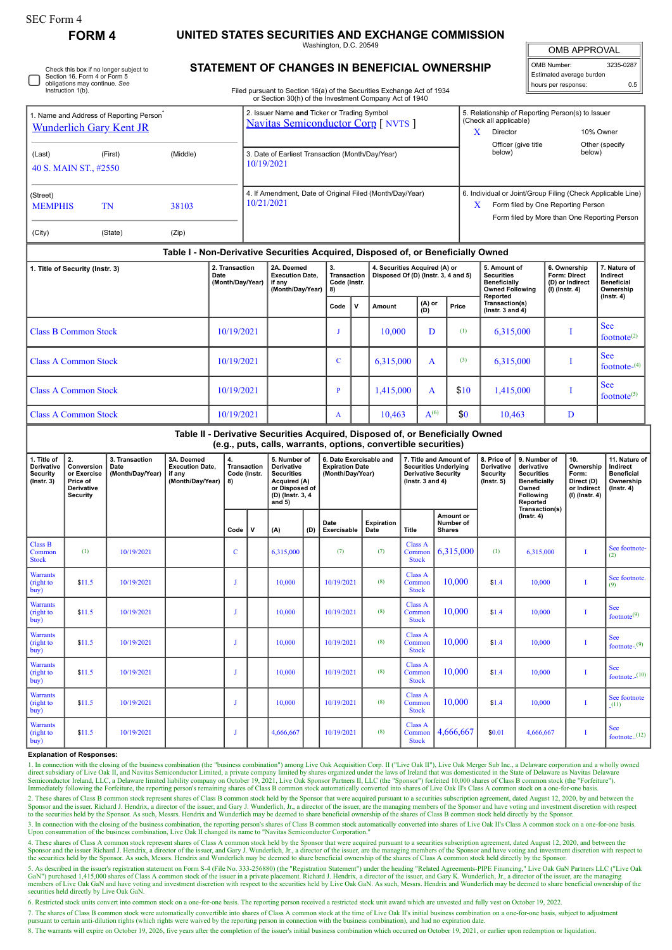## **FORM 4 UNITED STATES SECURITIES AND EXCHANGE COMMISSION**

Washington, D.C. 20549

OMB APPROVAL

| OMB Number:              | 3235-0287 |  |  |  |  |
|--------------------------|-----------|--|--|--|--|
| Estimated average burden |           |  |  |  |  |
| hours per response:      | 0.5       |  |  |  |  |

Check this box if no longer subject to Section 16. Form 4 or Form 5 obligations may continue. *See* Instruction 1(b).

## **STATEMENT OF CHANGES IN BENEFICIAL OWNERSHIP**

Filed pursuant to Section 16(a) of the Securities Exchange Act of 1934 or Section 30(h) of the Investment Company Act of 1940

| 1. Name and Address of Reporting Person <sup>®</sup><br><b>Wunderlich Gary Kent JR</b> |                                                                              |                                            |                                                                                  |                                            |                                   | 2. Issuer Name and Ticker or Trading Symbol<br><b>Navitas Semiconductor Corp</b> [ NVTS ] |                                                                                                                   |                                         |                                                                                                                                                 |                                                                      |                                                                                                              |                                          |               |                                                                                                | (Check all applicable)<br>Director<br>X.                                                                                                                          |                                                                     | 5. Relationship of Reporting Person(s) to Issuer<br>10% Owner            |                                                                                 |                                |  |
|----------------------------------------------------------------------------------------|------------------------------------------------------------------------------|--------------------------------------------|----------------------------------------------------------------------------------|--------------------------------------------|-----------------------------------|-------------------------------------------------------------------------------------------|-------------------------------------------------------------------------------------------------------------------|-----------------------------------------|-------------------------------------------------------------------------------------------------------------------------------------------------|----------------------------------------------------------------------|--------------------------------------------------------------------------------------------------------------|------------------------------------------|---------------|------------------------------------------------------------------------------------------------|-------------------------------------------------------------------------------------------------------------------------------------------------------------------|---------------------------------------------------------------------|--------------------------------------------------------------------------|---------------------------------------------------------------------------------|--------------------------------|--|
| (Middle)<br>(Last)<br>(First)<br>40 S. MAIN ST., #2550                                 |                                                                              |                                            |                                                                                  |                                            |                                   | 3. Date of Earliest Transaction (Month/Day/Year)<br>10/19/2021                            |                                                                                                                   |                                         |                                                                                                                                                 |                                                                      |                                                                                                              |                                          |               |                                                                                                | Officer (give title<br>Other (specify<br>below)<br>below)                                                                                                         |                                                                     |                                                                          |                                                                                 |                                |  |
| (Street)<br><b>MEMPHIS</b><br>TN<br>38103                                              |                                                                              |                                            |                                                                                  |                                            |                                   | 10/21/2021                                                                                |                                                                                                                   |                                         | 4. If Amendment, Date of Original Filed (Month/Day/Year)                                                                                        |                                                                      |                                                                                                              |                                          |               |                                                                                                | 6. Individual or Joint/Group Filing (Check Applicable Line)<br>Form filed by One Reporting Person<br>$\mathbf{X}$<br>Form filed by More than One Reporting Person |                                                                     |                                                                          |                                                                                 |                                |  |
| (City)                                                                                 | (State)<br>(Zip)                                                             |                                            |                                                                                  |                                            |                                   |                                                                                           |                                                                                                                   |                                         |                                                                                                                                                 |                                                                      |                                                                                                              |                                          |               |                                                                                                |                                                                                                                                                                   |                                                                     |                                                                          |                                                                                 |                                |  |
|                                                                                        |                                                                              |                                            | Table I - Non-Derivative Securities Acquired, Disposed of, or Beneficially Owned |                                            |                                   |                                                                                           |                                                                                                                   |                                         |                                                                                                                                                 |                                                                      |                                                                                                              |                                          |               |                                                                                                |                                                                                                                                                                   |                                                                     |                                                                          |                                                                                 |                                |  |
| 1. Title of Security (Instr. 3)                                                        |                                                                              |                                            |                                                                                  | 2. Transaction<br>Date<br>(Month/Day/Year) |                                   | 2A. Deemed<br><b>Execution Date,</b><br>if any<br>(Month/Day/Year)                        |                                                                                                                   | 3.<br>Transaction<br>Code (Instr.<br>8) |                                                                                                                                                 | 4. Securities Acquired (A) or<br>Disposed Of (D) (Instr. 3, 4 and 5) |                                                                                                              |                                          |               | 5. Amount of<br><b>Securities</b><br><b>Beneficially</b><br><b>Owned Following</b><br>Reported |                                                                                                                                                                   | 6. Ownership<br>Form: Direct<br>(D) or Indirect<br>$(I)$ (Instr. 4) |                                                                          | 7. Nature of<br>Indirect<br><b>Beneficial</b><br>Ownership                      |                                |  |
|                                                                                        |                                                                              |                                            |                                                                                  |                                            |                                   |                                                                                           |                                                                                                                   | Code                                    | $\mathsf{v}$                                                                                                                                    | Amount                                                               | (D)                                                                                                          | (A) or                                   | Price         | Transaction(s)<br>(lnstr. $3$ and $4$ )                                                        |                                                                                                                                                                   |                                                                     |                                                                          | $($ Instr. 4 $)$                                                                |                                |  |
| <b>Class B Common Stock</b>                                                            |                                                                              | 10/19/2021                                 |                                                                                  |                                            |                                   | J                                                                                         |                                                                                                                   | 10,000                                  |                                                                                                                                                 | D                                                                    | (1)                                                                                                          | 6,315,000                                |               | I                                                                                              |                                                                                                                                                                   | <b>See</b><br>footnote <sup>(2)</sup>                               |                                                                          |                                                                                 |                                |  |
| <b>Class A Common Stock</b>                                                            |                                                                              | 10/19/2021                                 |                                                                                  |                                            |                                   | $\mathbf C$                                                                               |                                                                                                                   | 6,315,000                               |                                                                                                                                                 | A                                                                    | (3)                                                                                                          | 6,315,000                                |               | I                                                                                              |                                                                                                                                                                   | <b>See</b><br>footnote- $(4)$                                       |                                                                          |                                                                                 |                                |  |
| <b>Class A Common Stock</b>                                                            |                                                                              |                                            |                                                                                  |                                            | 10/19/2021                        |                                                                                           |                                                                                                                   |                                         | $\mathbf{P}$                                                                                                                                    |                                                                      | 1,415,000                                                                                                    |                                          | A             | \$10                                                                                           | 1,415,000                                                                                                                                                         |                                                                     |                                                                          | I                                                                               | <b>See</b><br>footnote $(5)$   |  |
| <b>Class A Common Stock</b>                                                            |                                                                              |                                            |                                                                                  |                                            |                                   | 10/19/2021                                                                                |                                                                                                                   |                                         | $\mathbf{A}$                                                                                                                                    |                                                                      | 10,463                                                                                                       |                                          | $A^{(6)}$     | \$0                                                                                            | 10,463                                                                                                                                                            |                                                                     |                                                                          | D                                                                               |                                |  |
|                                                                                        |                                                                              |                                            |                                                                                  |                                            |                                   |                                                                                           |                                                                                                                   |                                         | Table II - Derivative Securities Acquired, Disposed of, or Beneficially Owned<br>(e.g., puts, calls, warrants, options, convertible securities) |                                                                      |                                                                                                              |                                          |               |                                                                                                |                                                                                                                                                                   |                                                                     |                                                                          |                                                                                 |                                |  |
| 1. Title of<br>Derivative<br><b>Security</b><br>$($ Instr. 3)                          | 2.<br>Conversion<br>or Exercise<br>Price of<br>Derivative<br><b>Security</b> | 3. Transaction<br>Date<br>(Month/Day/Year) | 3A. Deemed<br><b>Execution Date,</b><br>if any<br>(Month/Day/Year)               |                                            | Transaction<br>Code (Instr.<br>8) |                                                                                           | 5. Number of<br>Derivative<br><b>Securities</b><br>Acquired (A)<br>or Disposed of<br>(D) (Instr. 3, 4<br>and $5)$ |                                         | 6. Date Exercisable and<br><b>Expiration Date</b><br>(Month/Day/Year)                                                                           |                                                                      | 7. Title and Amount of<br><b>Securities Underlying</b><br><b>Derivative Security</b><br>( $lnstr. 3 and 4$ ) |                                          |               | 8. Price of<br>Derivative<br><b>Security</b><br>$($ Instr. $5)$                                | 9. Number of<br>derivative<br><b>Securities</b><br><b>Beneficially</b><br>Owned<br>Following<br>Reported<br>Transaction(s)                                        |                                                                     | 10.<br>Ownership<br>Form:<br>Direct (D)<br>or Indirect<br>(I) (Instr. 4) | 11. Nature of<br>Indirect<br><b>Beneficial</b><br>Ownership<br>$($ Instr. 4 $)$ |                                |  |
|                                                                                        |                                                                              |                                            |                                                                                  |                                            | Code                              | $\mathbf v$                                                                               | (A)                                                                                                               | (D)                                     | Date<br>Exercisable                                                                                                                             |                                                                      | <b>Expiration</b><br>Date                                                                                    | Title                                    | <b>Shares</b> | Amount or<br>Number of                                                                         |                                                                                                                                                                   | $($ Instr. 4 $)$                                                    |                                                                          |                                                                                 |                                |  |
| <b>Class B</b><br>Common<br><b>Stock</b>                                               | (1)                                                                          | 10/19/2021                                 |                                                                                  |                                            | $\overline{C}$                    |                                                                                           | 6,315,000                                                                                                         |                                         | (7)                                                                                                                                             |                                                                      | (7)                                                                                                          | <b>Class A</b><br>Common<br><b>Stock</b> |               | 6,315,000                                                                                      | (1)<br>6,315,000                                                                                                                                                  |                                                                     | $\bf{I}$                                                                 |                                                                                 | See footnote-<br>(2)           |  |
| Warrants<br>(right to<br>buy)                                                          | \$11.5                                                                       | 10/19/2021                                 |                                                                                  |                                            | $\mathbf{J}$                      |                                                                                           | 10,000                                                                                                            |                                         | 10/19/2021                                                                                                                                      |                                                                      | (8)                                                                                                          | <b>Class A</b><br>Common<br><b>Stock</b> |               | 10,000                                                                                         | \$1.4                                                                                                                                                             | 10,000                                                              |                                                                          | $\bf I$                                                                         | See footnote.                  |  |
| Warrants<br>(right to<br>buy)                                                          | \$11.5                                                                       | 10/19/2021                                 |                                                                                  |                                            | $\mathbf{J}$                      |                                                                                           | 10,000                                                                                                            |                                         | 10/19/2021                                                                                                                                      |                                                                      | (8)                                                                                                          | <b>Class A</b><br>Common<br><b>Stock</b> |               | 10,000                                                                                         | \$1.4                                                                                                                                                             | 10,000                                                              |                                                                          | Т                                                                               | <b>See</b><br>footnote $(9)$   |  |
| <b>Warrants</b><br>(right to<br>buy)                                                   | \$11.5                                                                       | 10/19/2021                                 |                                                                                  |                                            | ${\bf J}$                         |                                                                                           | 10,000                                                                                                            |                                         | 10/19/2021                                                                                                                                      |                                                                      | (8)                                                                                                          | <b>Class A</b><br>Common<br><b>Stock</b> |               | 10.000                                                                                         | \$1.4                                                                                                                                                             | 10,000                                                              |                                                                          | I                                                                               | <b>See</b><br>footnote- $(9)$  |  |
| <b>Warrants</b><br>(right to<br>buy)                                                   | \$11.5                                                                       | 10/19/2021                                 |                                                                                  |                                            | ${\bf J}$                         |                                                                                           | 10,000                                                                                                            |                                         | 10/19/2021                                                                                                                                      |                                                                      | (8)                                                                                                          | Class A<br>Common<br><b>Stock</b>        |               | 10,000                                                                                         | \$1.4                                                                                                                                                             | 10,000                                                              |                                                                          | I                                                                               | <b>See</b><br>footnote. $(10)$ |  |
| Warrants                                                                               |                                                                              |                                            |                                                                                  |                                            |                                   |                                                                                           |                                                                                                                   |                                         |                                                                                                                                                 |                                                                      |                                                                                                              | $C$ lass $\Delta$                        |               |                                                                                                |                                                                                                                                                                   |                                                                     |                                                                          |                                                                                 |                                |  |

## **Explanation of Responses:**

(right to buy)

**Warrants** (right to  $buv$ 

1. In connection with the closing of the business combination (the "business combination") among Live Oak Acquisition Corp. II ("Live Oak II"), Live Oak Merger Sub Inc., a Delaware corporation and a wholly owned<br>direct sub Immediately following the Forfeiture, the reporting person's remaining shares of Class B common stock automatically converted into shares of Live Oak II's Class A common stock on a one-for-one basis.

Common Stock

Class A **Common** Stock

10,000 \$1.4 10,000 I

 $4,666,667$   $\bullet$   $60.01$   $4,666,667$  I

See footnote - (11)

See<br>footnote..<sup>(12)</sup>

2. These shares of Class B common stock represent shares of Class B common stock held by the Sponsor that were acquired pursuant to a securities subscription agreement, dated August 12, 2020, by and between the Sponsor and the issuer. Richard J. Hendrix, a director of the issuer, and Gary J. Wunderlich, Jr., a director of the issuer, are the managing members of the Sponsor and have voting and investment discretion with respect to

3. In connection with the closing of the business combination, the reporting person's shares of Class B common stock automatically converted into shares of Live Oak II's Class A common stock on a one-for-one basis.<br>Upon co

4. These shares of Class A common stock represent shares of Class A common stock held by the Sponsor that were acquired pursuant to a securities subscription agreement, dated August 12, 2020, and between the Sponsor and the issuer Richard J. Hendrix, a director of the issuer, and Gary J. Wunderlich, Jr., a director of the issuer, are the managing members of the Sponsor and have voting and investment discretion with respect to<br>

5. As described in the issuer's registration statement on Form S-4 (File No. 333-256880) (the "Registration Statement") under the heading "Related Agreements-PIPE Financing," Live Oak GaN Partners LLC ("Live Oak GaN") purchased 1,415,000 shares of Class A common stock of the issuer in a private placement. Richard J. Hendrix, a director of the issuer, and Gary K. Wunderlich, Jr., a director of the issuer, are the managing<br>members o securities held directly by Live Oak GaN.

6. Restricted stock units convert into common stock on a one-for-one basis. The reporting person received a restricted stock unit award which are unvested and fully vest on October 19, 2022.

 $$11.5$  10/19/2021 J J 10,000 10/19/2021 (8)

 $\bullet$  10/19/2021 J J 4,666,667 10/19/2021 (8)

7. The shares of Class B common stock were automatically convertible into shares of Class A common stock at the time of Live Oak II's initial business combination on a one-for-one basis, subject to adjustment pursuant to certain anti-dilution rights (which rights were waived by the reporting person in connection with the business combination), and had no expiration date.

8. The warrants will expire on October 19, 2026, five years after the completion of the issuer's initial business combination which occurred on October 19, 2021, or earlier upon redemption or liquidation.